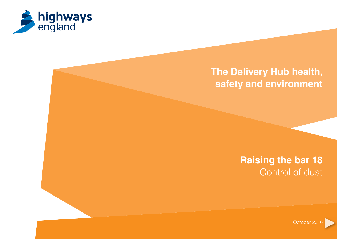

# **The Delivery Hub health, safety and environment**

**Raising the bar 18** Control of dust

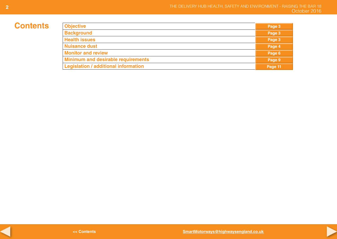# **Contents**

| <b>Objective</b>                            | Page 3  |
|---------------------------------------------|---------|
| <b>Background</b>                           | Page 3  |
| <b>Health issues</b>                        | Page 3  |
| <b>Nuisance dust</b>                        | Page 4  |
| <b>Monitor and review</b>                   | Page 6  |
| <b>Minimum and desirable requirements</b>   | Page 9  |
| <b>Legislation / additional information</b> | Page 11 |



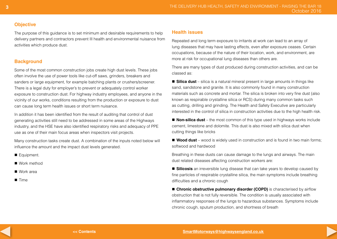# **Objective**

The purpose of this guidance is to set minimum and desirable requirements to help delivery partners and contractors prevent Ill health and environmental nuisance from activities which produce dust.

# **Background**

Some of the most common construction jobs create high dust levels. These jobs often involve the use of power tools like cut-off saws, grinders, breakers and sanders or large equipment, for example batching plants or crushers/screener. There is a legal duty for employer's to prevent or adequately control worker exposure to construction dust. For highway industry employees, and anyone in the vicinity of our works, conditions resulting from the production or exposure to dust can cause long term health issues or short term nuisance.

In addition it has been identified from the result of auditing that control of dust generating activities still need to be addressed in some areas of the Highways industry, and the HSE have also identified respiratory risks and adequacy of PPE use as one of their main focus areas when inspectors visit projects.

Many construction tasks create dust. A combination of the inputs noted below will influence the amount and the impact dust levels generated.

Equipment.

■ Work method

 $N$ ork area

 $\blacksquare$  Time

# **Health issues**

Repeated and long term exposure to irritants at work can lead to an array of lung diseases that may have lasting effects, even after exposure ceases. Certain occupations, because of the nature of their location, work, and environment, are more at risk for occupational lung diseases than others are.

There are many types of dust produced during construction activities, and can be classed as:

**Silica dust** – silica is a natural mineral present in large amounts in things like sand, sandstone and granite. It is also commonly found in many construction materials such as concrete and mortar. The silica is broken into very fine dust (also known as respirable crystalline silica or RCS) during many common tasks such as cutting, drilling and grinding. The Health and Safety Executive are particularly interested in the control of silica in construction activities due to the high health risk.

■ **Non-silica dust** – the most common of this type used in highways works include cement, limestone and dolomite. This dust is also mixed with silica dust when cutting things like bricks

■ **Wood dust** – wood is widely used in construction and is found in two main forms; softwood and hardwood

Breathing in these dusts can cause damage to the lungs and airways. The main dust related diseases affecting construction workers are:

**E** Silicosis an irreversible lung disease that can take years to develop caused by fine particles of respirable crystalline silica, the main symptoms include breathing difficulties and a chronic cough

**n** Chronic obstructive pulmonary disorder (COPD) is characterised by airflow obstruction that is not fully reversible. The condition is usually associated with inflammatory responses of the lungs to hazardous substances. Symptoms include chronic cough, sputum production, and shortness of breath

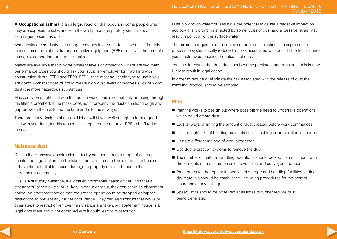$\blacksquare$  **Occupational asthma** is an allergic reaction that occurs in some people when they are exposed to substances in the workplace, (respiratory sensitisers or asthmagens) such as dust

Some tasks are so dusty that enough escapes into the air to still be a risk. For this reason some form of respiratory protective equipment (RPE), usually in the form of a mask, is also needed for high risk tasks.

Masks are available that provide different levels of protection. There are two main performance types you should ask your supplier/ employer for if working with construction dusts: FFP2 and FFP3. FFP3 is the most advisable type to use if you are doing work that does or could create high dust levels or involves silica or wood dust (the more hazardous substances).

Masks rely on a tight seal with the face to work. This is so that only air going through the filter is breathed. If the mask does not fit properly the dust can slip through any gap between the mask and the face and into the airways.

There are many designs of masks. Not all will fit you well enough to form a good seal with your face, for this reason it is a legal requirement for RPE to be fitted to the user.

#### **Nuisance dust**

Dust in the Highways construction industry can come from a range of sources on-site and legal action can be taken if activities create levels of dust that cause, or have the potential to cause, damage to property or disturbance to the surrounding community.

Dust is a statutory nuisance, if a local environmental health officer finds that a statutory nuisance exists, or is likely to occur or recur, they can serve an abatement notice. An abatement notice can require the operation to be stopped or impose restrictions to prevent any further occurrence. They can also instruct that works or other steps to restrict or remove the nuisance are taken. An abatement notice is a legal document and if not complied with it could lead to prosecution.

Dust blowing on watercourses have the potential to cause a negative impact on ecology. Plant growth is affected by some types of dust and excessive levels may result in pollution of the surface water.

The minimum requirement to achieve current best practice is to implement a process to systematically reduce the risks associated with dust. In the first instance you should avoid causing the release of dust.

You should ensure that dust does not become persistent and regular as this is more likely to result in legal action.

In order to reduce or eliminate the risk associated with the release of dust the following protocol should be adopted

# **Plan**

- Plan the works to design out where possible the need to undertake operations which could create dust
- Look at ways of limiting the amount of dust created before work commences
- Use the right size of building materials so less cutting or preparation is needed
- Using a different method of work altogether
- Use dust extraction systems to remove the dust
- The number of material handling operations should be kept to a minimum, with drop heights of friable materials onto vehicles and conveyors reduced
- Procedures for the regular inspection of storage and handling facilities for fine, dry materials should be established, including procedures for the prompt clearance of any spillage
- Speed limits should be observed at all times to further reduce dust being generated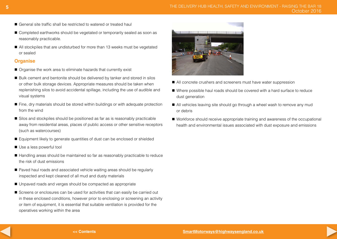- General site traffic shall be restricted to watered or treated haul
- Completed earthworks should be vegetated or temporarily sealed as soon as reasonably practicable.
- All stockpiles that are undisturbed for more than 13 weeks must be vegetated or sealed

# **Organise**

- Organise the work area to eliminate hazards that currently exist
- Bulk cement and bentonite should be delivered by tanker and stored in silos or other bulk storage devices. Appropriate measures should be taken when replenishing silos to avoid accidental spillage, including the use of audible and visual systems
- Fine, dry materials should be stored within buildings or with adequate protection from the wind
- Silos and stockpiles should be positioned as far as is reasonably practicable away from residential areas, places of public access or other sensitive receptors (such as watercourses)
- Equipment likely to generate quantities of dust can be enclosed or shielded
- Use a less powerful tool
- Handling areas should be maintained so far as reasonably practicable to reduce the risk of dust emissions
- Paved haul roads and associated vehicle waiting areas should be regularly inspected and kept cleaned of all mud and dusty materials
- Unpaved roads and verges should be compacted as appropriate
- Screens or enclosures can be used for activities that can easily be carried out in these enclosed conditions, however prior to enclosing or screening an activity or item of equipment, it is essential that suitable ventilation is provided for the operatives working within the area



- All concrete crushers and screeners must have water suppression
- Where possible haul roads should be covered with a hard surface to reduce dust generation
- All vehicles leaving site should go through a wheel wash to remove any mud or debris
- Workforce should receive appropriate training and awareness of the occupational health and environmental issues associated with dust exposure and emissions

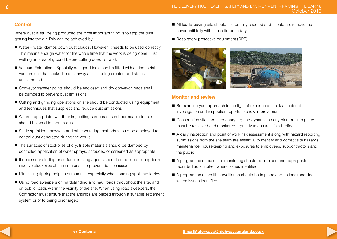# **Control**

Where dust is still being produced the most important thing is to stop the dust getting into the air. This can be achieved by

- Water water damps down dust clouds. However, it needs to be used correctly. This means enough water for the whole time that the work is being done. Just wetting an area of ground before cutting does not work
- $\blacksquare$  Vacuum Extraction Specially designed tools can be fitted with an industrial vacuum unit that sucks the dust away as it is being created and stores it until emptied
- Conveyor transfer points should be enclosed and dry conveyor loads shall be damped to prevent dust emissions
- Cutting and grinding operations on site should be conducted using equipment and techniques that suppress and reduce dust emissions
- Where appropriate, windbreaks, netting screens or semi-permeable fences should be used to reduce dust.
- Static sprinklers, bowsers and other watering methods should be employed to control dust generated during the works
- $\blacksquare$  The surfaces of stockpiles of dry, friable materials should be damped by controlled application of water sprays, shrouded or screened as appropriate
- If necessary binding or surface crusting agents should be applied to long-term inactive stockpiles of such materials to prevent dust emissions
- n Minimising tipping heights of material, especially when loading spoil into lorries
- Using road sweepers on hardstanding and haul roads throughout the site, and on public roads within the vicinity of the site. When using road sweepers, the Contractor must ensure that the arisings are placed through a suitable settlement system prior to being discharged
- All loads leaving site should site be fully sheeted and should not remove the cover until fully within the site boundary
- $\blacksquare$  Respiratory protective equipment (RPE)



# **Monitor and review**

- Re-examine your approach in the light of experience. Look at incident investigation and inspection reports to show improvement
- Construction sites are ever-changing and dynamic so any plan put into place must be reviewed and monitored regularly to ensure it is still effective
- n A daily inspection and point of work risk assessment along with hazard reporting submissions from the site team are essential to identify and correct site hazards, maintenance, housekeeping and exposures to employees, subcontractors and the public
- A programme of exposure monitoring should be in place and appropriate recorded action taken where issues identified
- A programme of health surveillance should be in place and actions recorded where issues identified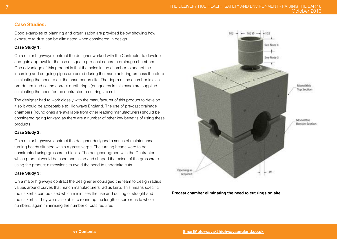#### **Case Studies:**

Good examples of planning and organisation are provided below showing how exposure to dust can be eliminated when considered in design.

#### **Case Study 1:**

On a major highways contract the designer worked with the Contractor to develop and gain approval for the use of square pre-cast concrete drainage chambers. One advantage of this product is that the holes in the chamber to accept the incoming and outgoing pipes are cored during the manufacturing process therefore eliminating the need to cut the chamber on site. The depth of the chamber is also pre-determined so the correct depth rings (or squares in this case) are supplied eliminating the need for the contractor to cut rings to suit.

The designer had to work closely with the manufacturer of this product to develop it so it would be acceptable to Highways England. The use of pre-cast drainage chambers (round ones are available from other leading manufacturers) should be considered going forward as there are a number of other key benefits of using these products.

#### **Case Study 2:**

On a major highways contract the designer designed a series of maintenance turning heads situated within a grass verge. The turning heads were to be constructed using grasscrete blocks. The designer agreed with the Contractor which product would be used and sized and shaped the extent of the grasscrete using the product dimensions to avoid the need to undertake cuts.

#### **Case Study 3:**

On a major highways contract the designer encouraged the team to design radius values around curves that match manufacturers radius kerb. This means specific radius kerbs can be used which minimises the use and cutting of straight and radius kerbs. They were also able to round up the length of kerb runs to whole numbers, again minimising the number of cuts required.



#### **Precast chamber eliminating the need to cut rings on site**

**7**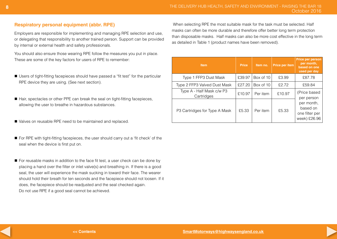# **Respiratory personal equipment (abbr. RPE)**

Employers are responsible for implementing and managing RPE selection and use, or delegating that responsibility to another trained person. Support can be provided by internal or external health and safety professionals.

You should also ensure those wearing RPE follow the measures you put in place. These are some of the key factors for users of RPE to remember:

- Users of tight-fitting facepieces should have passed a "fit test" for the particular RPE device they are using. (See next section).
- Hair, spectacles or other PPE can break the seal on tight-fitting facepieces, allowing the user to breathe in hazardous substances.
- Valves on reusable RPE need to be maintained and replaced.
- For RPE with tight-fitting facepieces, the user should carry out a 'fit check' of the seal when the device is first put on.
- For reusable masks in addition to the face fit test, a user check can be done by placing a hand over the filter or inlet valve(s) and breathing in. If there is a good seal, the user will experience the mask sucking in toward their face. The wearer should hold their breath for ten seconds and the facepiece should not loosen. If it does, the facepiece should be readjusted and the seal checked again. Do not use RPE if a good seal cannot be achieved.

 When selecting RPE the most suitable mask for the task must be selected. Half masks can often be more durable and therefore offer better long term protection than disposable masks. Half masks can also be more cost effective in the long term as detailed in Table 1 (product names have been removed).

| <b>Item</b>                             | <b>Price</b> | Item no.  | Price per item | Price per person<br>per month,<br>based on one<br>used per day                         |
|-----------------------------------------|--------------|-----------|----------------|----------------------------------------------------------------------------------------|
| Type 1 FFP3 Dust Mask                   | £39.97       | Box of 10 | £3.99          | £87.78                                                                                 |
| Type 2 FFP3 Valved Dust Mask            | £27.20       | Box of 10 | £2.72          | £59.84                                                                                 |
| Type A - Half Mask c/w P3<br>Cartridges | £10.97       | Per item  | £10.97         | (Price based<br>per person<br>per month,<br>based on<br>one filter per<br>week) £26.96 |
| P3 Cartridges for Type A Mask           | £5.33        | Per item  | £5.33          |                                                                                        |

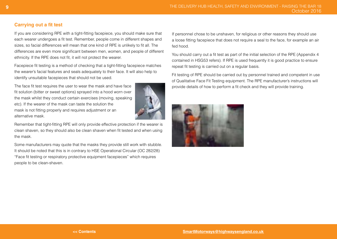# **Carrying out a fit test**

If you are considering RPE with a tight-fitting facepiece, you should make sure that each wearer undergoes a fit test. Remember, people come in different shapes and sizes, so facial differences will mean that one kind of RPE is unlikely to fit all. The differences are even more significant between men, women, and people of different ethnicity. If the RPE does not fit, it will not protect the wearer.

Facepiece fit testing is a method of checking that a tight-fitting facepiece matches the wearer's facial features and seals adequately to their face. It will also help to identify unsuitable facepieces that should not be used.

The face fit test requires the user to wear the mask and have face fit solution (bitter or sweet options) sprayed into a hood worn over the mask whilst they conduct certain exercises (moving, speaking etc). If the wearer of the mask can taste the solution the mask is not fitting properly and requires adjustment or an alternative mask.



Remember that tight-fitting RPE will only provide effective protection if the wearer is clean shaven, so they should also be clean shaven when fit tested and when using the mask.

Some manufacturers may quote that the masks they provide still work with stubble. It should be noted that this is in contrary to HSE Operational Circular (OC 282/28) "Face fit testing or respiratory protective equipment facepieces" which requires people to be clean-shaven.

If personnel chose to be unshaven, for religious or other reasons they should use a loose fitting facepiece that does not require a seal to the face, for example an air fed hood.

You should carry out a fit test as part of the initial selection of the RPE (Appendix 4 contained in HSG53 refers). If RPE is used frequently it is good practice to ensure repeat fit testing is carried out on a regular basis.

Fit testing of RPE should be carried out by personnel trained and competent in use of Qualitative Face Fit Testing equipment. The RPE manufacturer's instructions will provide details of how to perform a fit check and they will provide training.

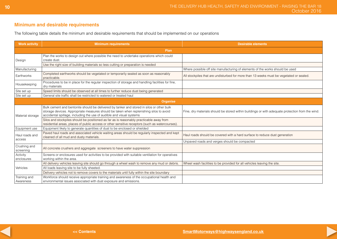# **Minimum and desirable requirements**

The following table details the minimum and desirable requirements that should be implemented on our operations

| <b>Work activity</b>      | <b>Minimum requirements</b>                                                                                                                                                                                                                                 | <b>Desirable elements</b>                                                                        |  |  |  |
|---------------------------|-------------------------------------------------------------------------------------------------------------------------------------------------------------------------------------------------------------------------------------------------------------|--------------------------------------------------------------------------------------------------|--|--|--|
|                           | Plan                                                                                                                                                                                                                                                        |                                                                                                  |  |  |  |
| Design                    | Plan the works to design out where possible the need to undertake operations which could<br>create dust.                                                                                                                                                    |                                                                                                  |  |  |  |
|                           | Use the right size of building materials so less cutting or preparation is needed                                                                                                                                                                           |                                                                                                  |  |  |  |
| Manufacturing             |                                                                                                                                                                                                                                                             | Where possible off site manufacturing of elements of the works should be used                    |  |  |  |
| Earthworks                | Completed earthworks should be vegetated or temporarily sealed as soon as reasonably<br>practicable.                                                                                                                                                        | All stockpiles that are undisturbed for more than 13 weeks must be vegetated or sealed.          |  |  |  |
| Housekeeping              | Procedures to be in place for the regular inspection of storage and handling facilities for fine,<br>dry materials                                                                                                                                          |                                                                                                  |  |  |  |
| Site set up               | Speed limits should be observed at all times to further reduce dust being generated                                                                                                                                                                         |                                                                                                  |  |  |  |
| Site set up               | General site traffic shall be restricted to watered or treated haul                                                                                                                                                                                         |                                                                                                  |  |  |  |
| Organise                  |                                                                                                                                                                                                                                                             |                                                                                                  |  |  |  |
| Material storage          | Bulk cement and bentonite should be delivered by tanker and stored in silos or other bulk<br>storage devices. Appropriate measures should be taken when replenishing silos to avoid<br>accidental spillage, including the use of audible and visual systems | Fine, dry materials should be stored within buildings or with adequate protection from the wind. |  |  |  |
|                           | Silos and stockpiles should be positioned as far as is reasonably practicable away from<br>residential areas, places of public access or other sensitive receptors (such as watercourses).                                                                  |                                                                                                  |  |  |  |
| Equipment use             | Equipment likely to generate quantities of dust to be enclosed or shielded                                                                                                                                                                                  |                                                                                                  |  |  |  |
| Haul roads and<br>access  | Paved haul roads and associated vehicle waiting areas should be regularly inspected and kept<br>cleaned of all mud and dusty materials.                                                                                                                     | Haul roads should be covered with a hard surface to reduce dust generation                       |  |  |  |
|                           |                                                                                                                                                                                                                                                             | Unpaved roads and verges should be compacted                                                     |  |  |  |
| Crushing and<br>screening | All concrete crushers and aggregate screeners to have water suppression                                                                                                                                                                                     |                                                                                                  |  |  |  |
| Activity<br>enclosures    | Screens or enclosures used for activities to be provided with suitable ventilation for operatives<br>working within the area.                                                                                                                               |                                                                                                  |  |  |  |
|                           | All delivery vehicles leaving site should go through a wheel wash to remove any mud or debris                                                                                                                                                               | Wheel wash facilities to be provided for all vehicles leaving the site.                          |  |  |  |
| Vehicles                  | All loads leaving site to be fully sheeted.                                                                                                                                                                                                                 |                                                                                                  |  |  |  |
|                           | Delivery vehicles not to remove covers to the materials until fully within the site boundary                                                                                                                                                                |                                                                                                  |  |  |  |
| Training and<br>Awareness | Workforce should receive appropriate training and awareness of the occupational health and<br>environmental issues associated with dust exposure and emissions.                                                                                             |                                                                                                  |  |  |  |

**10**

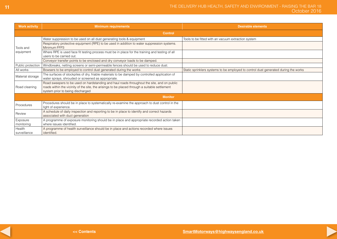| <b>Work activity</b>   | <b>Minimum requirements</b>                                                                                                                                                                                                      | <b>Desirable elements</b>                                                           |  |  |  |
|------------------------|----------------------------------------------------------------------------------------------------------------------------------------------------------------------------------------------------------------------------------|-------------------------------------------------------------------------------------|--|--|--|
| <b>Control</b>         |                                                                                                                                                                                                                                  |                                                                                     |  |  |  |
| Tools and<br>equipment | Water suppression to be used on all dust generating tools & equipment                                                                                                                                                            | Tools to be fitted with an vacuum extraction system                                 |  |  |  |
|                        | Respiratory protective equipment (RPE) to be used in addition to water suppression systems.<br>Minimum FFP3                                                                                                                      |                                                                                     |  |  |  |
|                        | Where RPE is used face fit testing process must be in place for the training and testing of all<br>users to be carried out.                                                                                                      |                                                                                     |  |  |  |
|                        | Conveyor transfer points to be enclosed and dry conveyor loads to be damped.                                                                                                                                                     |                                                                                     |  |  |  |
| Public protection      | Windbreaks, netting screens or semi-permeable fences should be used to reduce dust.                                                                                                                                              |                                                                                     |  |  |  |
| All works              | Bowsers to be employed to control dust generated during the works                                                                                                                                                                | Static sprinklers systems to be employed to control dust generated during the works |  |  |  |
| Material storage       | The surfaces of stockpiles of dry, friable materials to be damped by controlled application of<br>water sprays, shrouded or screened as appropriate.                                                                             |                                                                                     |  |  |  |
| Road cleaning          | Road sweepers to be used on hardstanding and haul roads throughout the site, and on public<br>roads within the vicinity of the site, the arisings to be placed through a suitable settlement<br>system prior to being discharged |                                                                                     |  |  |  |
| <b>Monitor</b>         |                                                                                                                                                                                                                                  |                                                                                     |  |  |  |
| Procedures             | Procedures should be in place to systematically re-examine the approach to dust control in the<br>light of experience.                                                                                                           |                                                                                     |  |  |  |
| Review                 | A schedule of daily inspection and reporting to be in place to identify and correct hazards<br>associated with duct generation                                                                                                   |                                                                                     |  |  |  |
| Exposure<br>monitoring | A programme of exposure monitoring should be in place and appropriate recorded action taken<br>where issues identified.                                                                                                          |                                                                                     |  |  |  |
| Health<br>surveillance | A programme of health surveillance should be in place and actions recorded where issues<br>identified.                                                                                                                           |                                                                                     |  |  |  |

**11**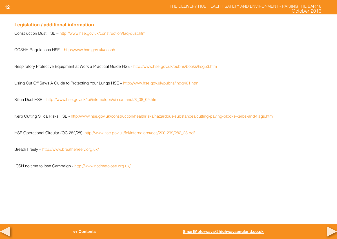# **Legislation / additional information**

Construction Dust HSE – <http://www.hse.gov.uk/construction/faq-dust.htm>

COSHH Regulations HSE – <http://www.hse.gov.uk/coshh>

Respiratory Protective Equipment at Work a Practical Guide HSE [- http://www.hse.gov.uk/pubns/books/hsg53.htm](http://www.hse.gov.uk/pubns/books/hsg53.htm)

Using Cut Off Saws A Guide to Protecting Your Lungs HSE – <http://www.hse.gov.uk/pubns/indg461.htm>

Silica Dust HSE – [http://www.hse.gov.uk/foi/internalops/sims/manuf/3\\_08\\_09.htm](http://www.hse.gov.uk/foi/internalops/sims/manuf/3_08_09.htm)

Kerb Cutting Silica Risks HSE - http://www.hse.gov.uk/construction/healthrisks/hazardous-substances/cutting-paving-blocks-kerbs-and-flags.htm

HSE Operational Circular (OC 282/28) [http://www.hse.gov.uk/foi/internalops/ocs/200-299/282\\_28.pdf](http://www.hse.gov.uk/foi/internalops/ocs/200-299/282_28.pdf)

Breath Freely – <http://www.breathefreely.org.uk/>

IOSH no time to lose Campaign [- http://www.notimetolose.org.uk/]( http://www.notimetolose.org.uk/)